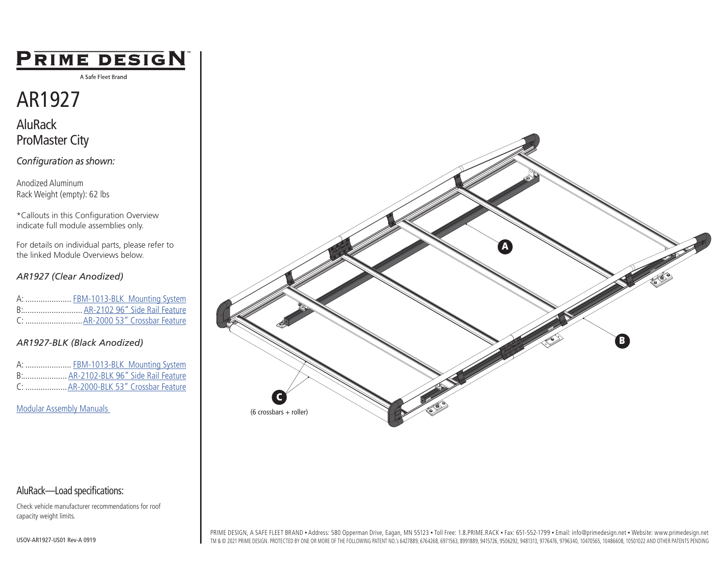## PRIME DESIGN

A Safe Fleet Brand

# AR1927

AluRack ProMaster City

*Configuration as shown:*

Anodized Aluminum Rack Weight (empty): 62 lbs

\*Callouts in this Configuration Overview indicate full module assemblies only.

For details on individual parts, please refer to the linked Module Overviews below.

#### *AR1927 (Clear Anodized)*

|  | A:  FBM-1013-BLK Mounting System |
|--|----------------------------------|
|  | B: AR-2102 96" Side Rail Feature |
|  |                                  |

#### *AR1927-BLK (Black Anodized)*

|  | A:  FBM-1013-BLK Mounting System     |
|--|--------------------------------------|
|  | B: AR-2102-BLK 96" Side Rail Feature |
|  | C:  AR-2000-BLK 53" Crossbar Feature |

[Modular Assembly Manuals](https://www.primedesign.net/document-library/#configured-modular-tab) 



Check vehicle manufacturer recommendations for roof capacity weight limits.